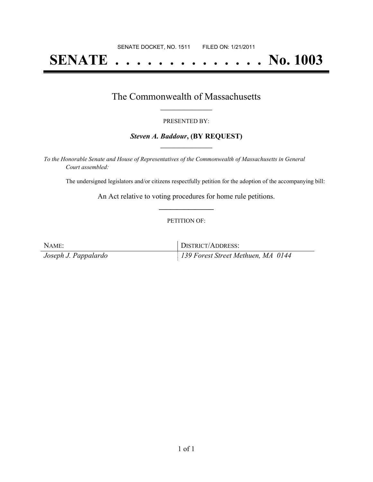# **SENATE . . . . . . . . . . . . . . No. 1003**

### The Commonwealth of Massachusetts **\_\_\_\_\_\_\_\_\_\_\_\_\_\_\_\_\_**

#### PRESENTED BY:

#### *Steven A. Baddour***, (BY REQUEST) \_\_\_\_\_\_\_\_\_\_\_\_\_\_\_\_\_**

*To the Honorable Senate and House of Representatives of the Commonwealth of Massachusetts in General Court assembled:*

The undersigned legislators and/or citizens respectfully petition for the adoption of the accompanying bill:

An Act relative to voting procedures for home rule petitions. **\_\_\_\_\_\_\_\_\_\_\_\_\_\_\_**

#### PETITION OF:

| NAME:                | DISTRICT/ADDRESS:                  |
|----------------------|------------------------------------|
| Joseph J. Pappalardo | 139 Forest Street Methuen, MA 0144 |